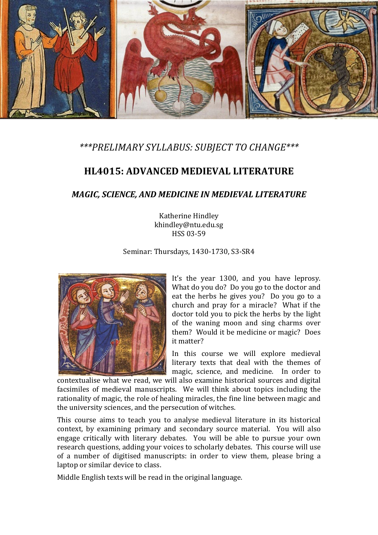

# *\*\*\*PRELIMARY SYLLABUS: SUBJECT TO CHANGE\*\*\**

# **HL4015: ADVANCED MEDIEVAL LITERATURE**

# *MAGIC, SCIENCE, AND MEDICINE IN MEDIEVAL LITERATURE*

Katherine Hindley khindley@ntu.edu.sg HSS 03-59

Seminar: Thursdays, 1430-1730, S3-SR4



It's the year 1300, and you have leprosy. What do you do? Do you go to the doctor and eat the herbs he gives you? Do you go to a church and pray for a miracle? What if the doctor told you to pick the herbs by the light of the waning moon and sing charms over them? Would it be medicine or magic? Does it matter?

In this course we will explore medieval literary texts that deal with the themes of magic, science, and medicine. In order to

contextualise what we read, we will also examine historical sources and digital facsimiles of medieval manuscripts. We will think about topics including the rationality of magic, the role of healing miracles, the fine line between magic and the university sciences, and the persecution of witches.

This course aims to teach you to analyse medieval literature in its historical context, by examining primary and secondary source material. You will also engage critically with literary debates. You will be able to pursue your own research questions, adding your voices to scholarly debates. This course will use of a number of digitised manuscripts: in order to view them, please bring a laptop or similar device to class.

Middle English texts will be read in the original language.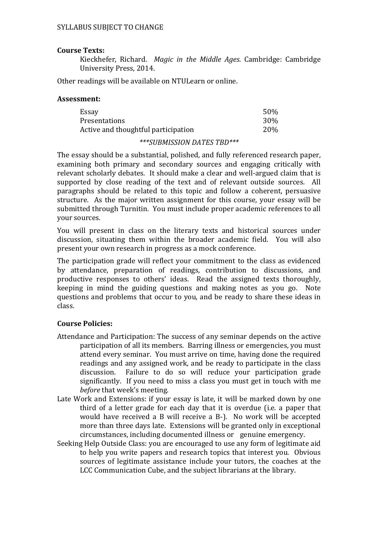### **Course Texts:**

Kieckhefer, Richard. *Magic in the Middle Ages*. Cambridge: Cambridge University Press, 2014.

Other readings will be available on NTULearn or online.

#### **Assessment:**

| Essay                               | 50% |
|-------------------------------------|-----|
| Presentations                       | 30% |
| Active and thoughtful participation | 20% |

#### *\*\*\*SUBMISSION DATES TBD\*\*\**

The essay should be a substantial, polished, and fully referenced research paper, examining both primary and secondary sources and engaging critically with relevant scholarly debates. It should make a clear and well-argued claim that is supported by close reading of the text and of relevant outside sources. All paragraphs should be related to this topic and follow a coherent, persuasive structure. As the major written assignment for this course, your essay will be submitted through Turnitin. You must include proper academic references to all your sources.

You will present in class on the literary texts and historical sources under discussion, situating them within the broader academic field. You will also present your own research in progress as a mock conference.

The participation grade will reflect your commitment to the class as evidenced by attendance, preparation of readings, contribution to discussions, and productive responses to others' ideas. Read the assigned texts thoroughly, keeping in mind the guiding questions and making notes as you go. Note questions and problems that occur to you, and be ready to share these ideas in class.

### **Course Policies:**

- Attendance and Participation: The success of any seminar depends on the active participation of all its members. Barring illness or emergencies, you must attend every seminar. You must arrive on time, having done the required readings and any assigned work, and be ready to participate in the class discussion. Failure to do so will reduce your participation grade Failure to do so will reduce your participation grade significantly. If you need to miss a class you must get in touch with me *before* that week's meeting.
- Late Work and Extensions: if your essay is late, it will be marked down by one third of a letter grade for each day that it is overdue (i.e. a paper that would have received a B will receive a B-). No work will be accepted more than three days late. Extensions will be granted only in exceptional circumstances, including documented illness or genuine emergency.
- Seeking Help Outside Class: you are encouraged to use any form of legitimate aid to help you write papers and research topics that interest you. Obvious sources of legitimate assistance include your tutors, the coaches at the LCC Communication Cube, and the subject librarians at the library.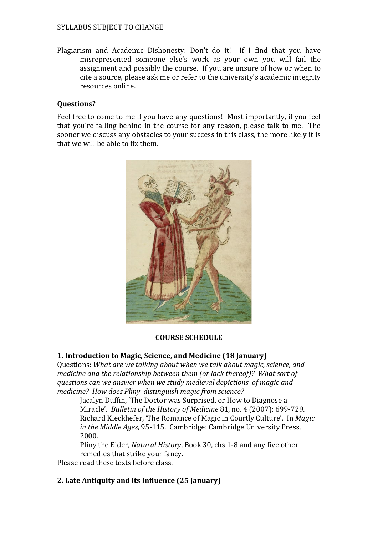#### SYLLABUS SUBJECT TO CHANGE

Plagiarism and Academic Dishonesty: Don't do it! If I find that you have misrepresented someone else's work as your own you will fail the assignment and possibly the course. If you are unsure of how or when to cite a source, please ask me or refer to the university's academic integrity resources online.

#### **Questions?**

Feel free to come to me if you have any questions! Most importantly, if you feel that you're falling behind in the course for any reason, please talk to me. The sooner we discuss any obstacles to your success in this class, the more likely it is that we will be able to fix them.



### **COURSE SCHEDULE**

### **1. Introduction to Magic, Science, and Medicine (18 January)**

Questions: *What are we talking about when we talk about magic, science, and medicine and the relationship between them (or lack thereof)? What sort of questions can we answer when we study medieval depictions of magic and medicine? How does Pliny distinguish magic from science?*

Jacalyn Duffin, 'The Doctor was Surprised, or How to Diagnose a Miracle'. *Bulletin of the History of Medicine* 81, no. 4 (2007): 699-729. Richard Kieckhefer, 'The Romance of Magic in Courtly Culture'. In *Magic in the Middle Ages*, 95-115. Cambridge: Cambridge University Press, 2000.

Pliny the Elder, *Natural History*, Book 30, chs 1-8 and any five other remedies that strike your fancy.

Please read these texts before class.

# **2. Late Antiquity and its Influence (25 January)**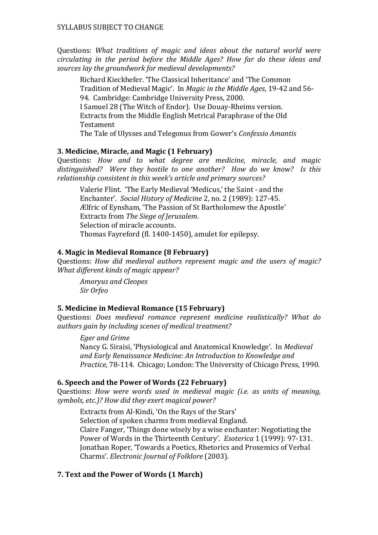Questions: *What traditions of magic and ideas about the natural world were circulating in the period before the Middle Ages? How far do these ideas and sources lay the groundwork for medieval developments?* 

Richard Kieckhefer. 'The Classical Inheritance' and 'The Common Tradition of Medieval Magic'. In *Magic in the Middle Ages*, 19-42 and 56- 94. Cambridge: Cambridge University Press, 2000. I Samuel 28 (The Witch of Endor). Use Douay-Rheims version. Extracts from the Middle English Metrical Paraphrase of the Old Testament

The Tale of Ulysses and Telegonus from Gower's *Confessio Amantis*

# **3. Medicine, Miracle, and Magic (1 February)**

Questions: *How and to what degree are medicine, miracle, and magic distinguished? Were they hostile to one another? How do we know? Is this relationship consistent in this week's article and primary sources?* 

Valerie Flint. 'The Early Medieval 'Medicus,' the Saint - and the Enchanter'. *Social History of Medicine* 2, no. 2 (1989): 127-45. Ælfric of Eynsham, 'The Passion of St Bartholomew the Apostle' Extracts from *The Siege of Jerusalem*. Selection of miracle accounts. Thomas Fayreford (fl. 1400-1450), amulet for epilepsy.

# **4. Magic in Medieval Romance (8 February)**

Questions: *How did medieval authors represent magic and the users of magic? What different kinds of magic appear?* 

*Amoryus and Cleopes Sir Orfeo*

# **5. Medicine in Medieval Romance (15 February)**

Questions: *Does medieval romance represent medicine realistically? What do authors gain by including scenes of medical treatment?*

# *Eger and Grime*

Nancy G. Siraisi, 'Physiological and Anatomical Knowledge'. In *Medieval and Early Renaissance Medicine: An Introduction to Knowledge and Practice*, 78-114. Chicago; London: The University of Chicago Press, 1990.

# **6. Speech and the Power of Words (22 February)**

Questions: *How were words used in medieval magic (i.e. as units of meaning, symbols, etc.)? How did they exert magical power?* 

Extracts from Al-Kindi, 'On the Rays of the Stars' Selection of spoken charms from medieval England. Claire Fanger, 'Things done wisely by a wise enchanter: Negotiating the Power of Words in the Thirteenth Century'. *Esoterica* 1 (1999): 97-131. Jonathan Roper, 'Towards a Poetics, Rhetorics and Proxemics of Verbal Charms'. *Electronic Journal of Folklore* (2003).

# **7. Text and the Power of Words (1 March)**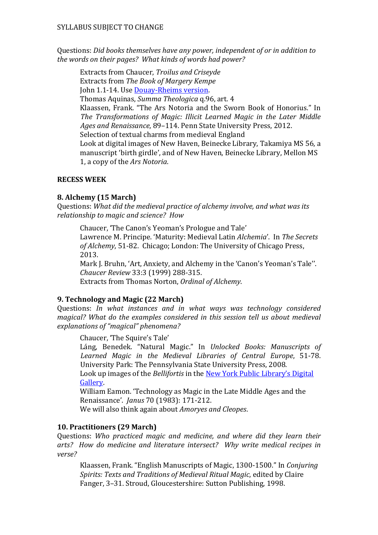Questions: *Did books themselves have any power, independent of or in addition to the words on their pages? What kinds of words had power?*

Extracts from Chaucer, *Troilus and Criseyde* Extracts from *The Book of Margery Kempe*

John 1.1-14. Use [Douay-Rheims version.](http://www.drbo.org/)

Thomas Aquinas, *Summa Theologica* q.96, art. 4

Klaassen, Frank. "The Ars Notoria and the Sworn Book of Honorius." In *The Transformations of Magic: Illicit Learned Magic in the Later Middle Ages and Renaissance*, 89–114. Penn State University Press, 2012.

Selection of textual charms from medieval England

Look at digital images of New Haven, Beinecke Library, Takamiya MS 56, a manuscript 'birth girdle', and of New Haven, Beinecke Library, Mellon MS 1, a copy of the *Ars Notoria*.

# **RECESS WEEK**

# **8. Alchemy (15 March)**

Questions: *What did the medieval practice of alchemy involve, and what was its relationship to magic and science? How* 

Chaucer, 'The Canon's Yeoman's Prologue and Tale' Lawrence M. Principe. 'Maturity: Medieval Latin *Alchemia*'. In *The Secrets of Alchemy*, 51-82. Chicago; London: The University of Chicago Press, 2013.

Mark J. Bruhn, 'Art, Anxiety, and Alchemy in the 'Canon's Yeoman's Tale''. *Chaucer Review* 33:3 (1999) 288-315. Extracts from Thomas Norton, *Ordinal of Alchemy*.

# **9. Technology and Magic (22 March)**

Questions: *In what instances and in what ways was technology considered magical? What do the examples considered in this session tell us about medieval explanations of "magical" phenomena?* 

Chaucer, 'The Squire's Tale'

Láng, Benedek. "Natural Magic." In *Unlocked Books: Manuscripts of Learned Magic in the Medieval Libraries of Central Europe*, 51-78. University Park: The Pennsylvania State University Press, 2008.

Look up images of the *Bellifortis* in the [New York Public Library's Digital](http://digitalgallery.nypl.org/)  [Gallery.](http://digitalgallery.nypl.org/)

William Eamon. 'Technology as Magic in the Late Middle Ages and the Renaissance'. *Janus* 70 (1983): 171-212.

We will also think again about *Amoryes and Cleopes*.

# **10. Practitioners (29 March)**

Questions: *Who practiced magic and medicine, and where did they learn their arts? How do medicine and literature intersect? Why write medical recipes in verse?*

Klaassen, Frank. "English Manuscripts of Magic, 1300-1500." In *Conjuring Spirits: Texts and Traditions of Medieval Ritual Magic*, edited by Claire Fanger, 3–31. Stroud, Gloucestershire: Sutton Publishing, 1998.